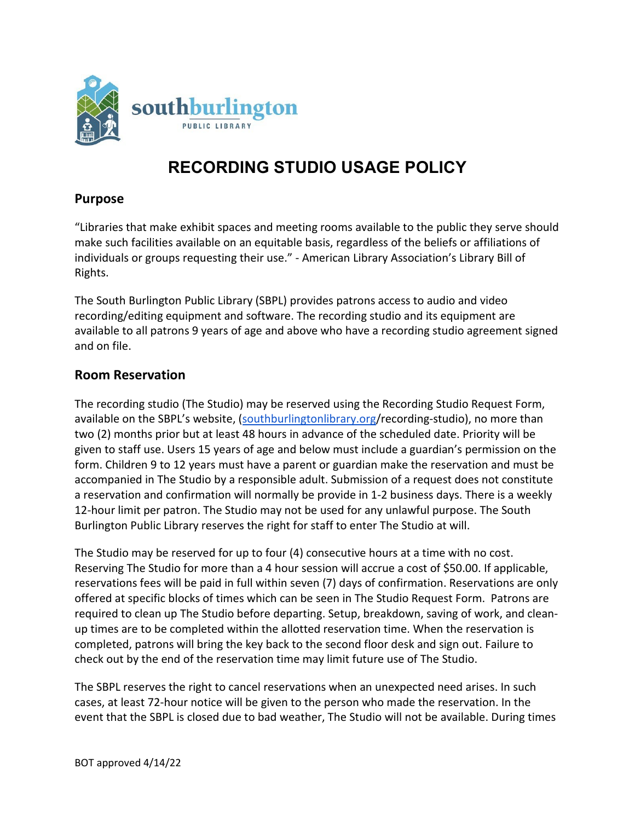

# **RECORDING STUDIO USAGE POLICY**

#### **Purpose**

"Libraries that make exhibit spaces and meeting rooms available to the public they serve should make such facilities available on an equitable basis, regardless of the beliefs or affiliations of individuals or groups requesting their use." - American Library Association's Library Bill of Rights.

The South Burlington Public Library (SBPL) provides patrons access to audio and video recording/editing equipment and software. The recording studio and its equipment are available to all patrons 9 years of age and above who have a recording studio agreement signed and on file.

#### **Room Reservation**

The recording studio (The Studio) may be reserved using the Recording Studio Request Form, available on the SBPL's website, [\(southburlingtonlibrary.org/](https://southburlingtonlibrary.org/)recording-studio), no more than two (2) months prior but at least 48 hours in advance of the scheduled date. Priority will be given to staff use. Users 15 years of age and below must include a guardian's permission on the form. Children 9 to 12 years must have a parent or guardian make the reservation and must be accompanied in The Studio by a responsible adult. Submission of a request does not constitute a reservation and confirmation will normally be provide in 1-2 business days. There is a weekly 12-hour limit per patron. The Studio may not be used for any unlawful purpose. The South Burlington Public Library reserves the right for staff to enter The Studio at will.

The Studio may be reserved for up to four (4) consecutive hours at a time with no cost. Reserving The Studio for more than a 4 hour session will accrue a cost of \$50.00. If applicable, reservations fees will be paid in full within seven (7) days of confirmation. Reservations are only offered at specific blocks of times which can be seen in The Studio Request Form. Patrons are required to clean up The Studio before departing. Setup, breakdown, saving of work, and cleanup times are to be completed within the allotted reservation time. When the reservation is completed, patrons will bring the key back to the second floor desk and sign out. Failure to check out by the end of the reservation time may limit future use of The Studio.

The SBPL reserves the right to cancel reservations when an unexpected need arises. In such cases, at least 72-hour notice will be given to the person who made the reservation. In the event that the SBPL is closed due to bad weather, The Studio will not be available. During times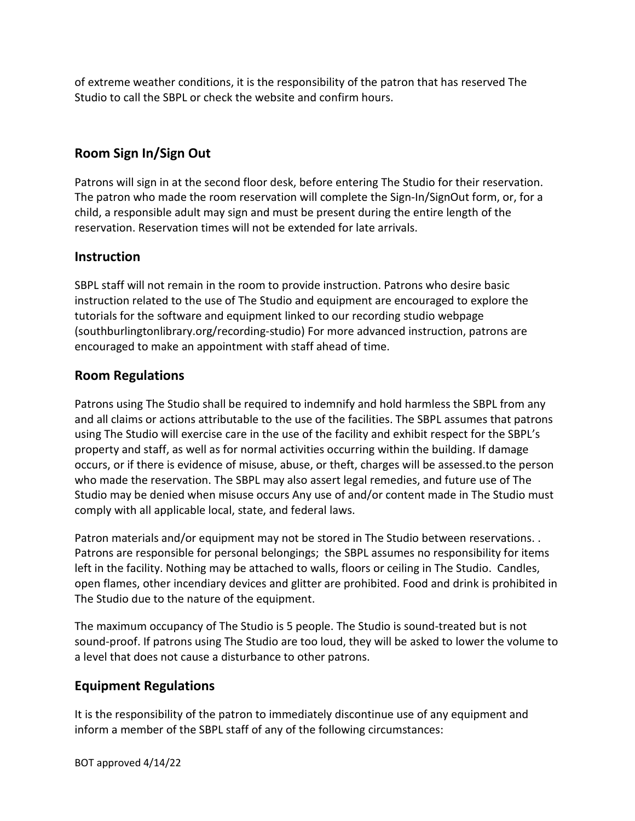of extreme weather conditions, it is the responsibility of the patron that has reserved The Studio to call the SBPL or check the website and confirm hours.

# **Room Sign In/Sign Out**

Patrons will sign in at the second floor desk, before entering The Studio for their reservation. The patron who made the room reservation will complete the Sign-In/SignOut form, or, for a child, a responsible adult may sign and must be present during the entire length of the reservation. Reservation times will not be extended for late arrivals.

### **Instruction**

SBPL staff will not remain in the room to provide instruction. Patrons who desire basic instruction related to the use of The Studio and equipment are encouraged to explore the tutorials for the software and equipment linked to our recording studio webpage (southburlingtonlibrary.org/recording-studio) For more advanced instruction, patrons are encouraged to make an appointment with staff ahead of time.

## **Room Regulations**

Patrons using The Studio shall be required to indemnify and hold harmless the SBPL from any and all claims or actions attributable to the use of the facilities. The SBPL assumes that patrons using The Studio will exercise care in the use of the facility and exhibit respect for the SBPL's property and staff, as well as for normal activities occurring within the building. If damage occurs, or if there is evidence of misuse, abuse, or theft, charges will be assessed.to the person who made the reservation. The SBPL may also assert legal remedies, and future use of The Studio may be denied when misuse occurs Any use of and/or content made in The Studio must comply with all applicable local, state, and federal laws.

Patron materials and/or equipment may not be stored in The Studio between reservations. . Patrons are responsible for personal belongings; the SBPL assumes no responsibility for items left in the facility. Nothing may be attached to walls, floors or ceiling in The Studio. Candles, open flames, other incendiary devices and glitter are prohibited. Food and drink is prohibited in The Studio due to the nature of the equipment.

The maximum occupancy of The Studio is 5 people. The Studio is sound-treated but is not sound-proof. If patrons using The Studio are too loud, they will be asked to lower the volume to a level that does not cause a disturbance to other patrons.

#### **Equipment Regulations**

It is the responsibility of the patron to immediately discontinue use of any equipment and inform a member of the SBPL staff of any of the following circumstances: